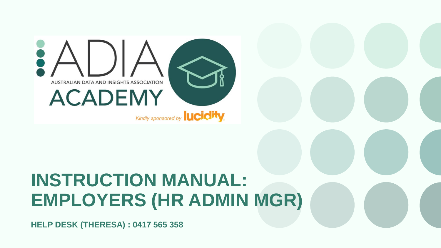

### **INSTRUCTION MANUAL: EMPLOYERS (HR ADMIN MGR)**

**HELP DESK (THERESA) : 0417 565 358**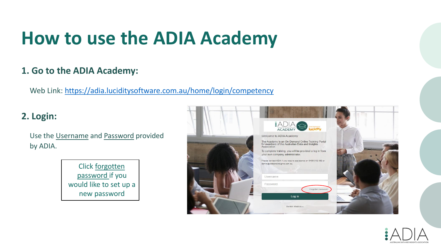### **How to use the ADIA Academy**

#### **1. Go to the ADIA Academy:**

Web Link: <https://adia.luciditysoftware.com.au/home/login/competency>

#### **2. Login:**

Use the Username and Password provided by ADIA.

> Click forgotten password if you would like to set up a new password



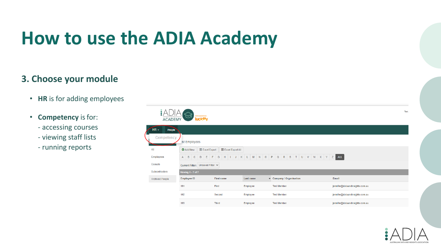### **How to use the ADIA Academy**

#### **3. Choose your module**

- **HR** is for adding employees
- **Competency** is for:
	- accessing courses
	- viewing staff lists
	- running reports

|                             | <b>ACADEMY</b>         | Cindly speesored by<br><b>lucidity</b> |                                                        |           |                        | Test                            |
|-----------------------------|------------------------|----------------------------------------|--------------------------------------------------------|-----------|------------------------|---------------------------------|
|                             | $HR -$<br>People       |                                        |                                                        |           |                        |                                 |
| Competency<br>ist Employees |                        |                                        |                                                        |           |                        |                                 |
|                             | All                    | <b>O</b> Add New                       | <b>III</b> Excel Export<br><b>III</b> Excel Export All |           |                        |                                 |
| <b>Employees</b>            |                        | B<br>с<br>D<br>A                       | $\mathsf K$<br>E<br>H<br>F.<br>G<br>J                  | M<br>N    | OPQRSTUVWXYZALL        |                                 |
|                             | Casuals                | Current Filter: Unsaved Filter V       |                                                        |           |                        |                                 |
|                             | Subcontractors         | Viewing 1 - 7 of 7                     |                                                        |           |                        |                                 |
|                             | <b>Archived People</b> | Employee ID                            | First name                                             | Last name | Company / Organisation | Email                           |
|                             |                        | 191                                    | First                                                  | Employee  | <b>Test Member</b>     | jennifer@dataandinsights.com.au |
|                             |                        | 192                                    | Second                                                 | Employee  | <b>Test Member</b>     | jennifer@dataandinsights.com.au |
|                             |                        | 193                                    | Third                                                  | Employee  | <b>Test Member</b>     | jennifer@dataandinsights.com.au |

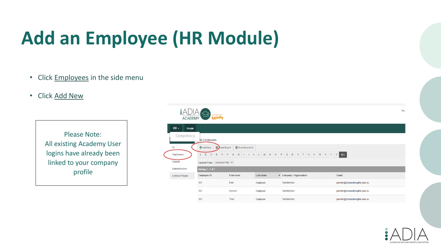# **Add an Employee (HR Module)**

- Click **Employees** in the side menu
- Click Add New

Please Note: All existing Academy User logins have already been linked to your company profile



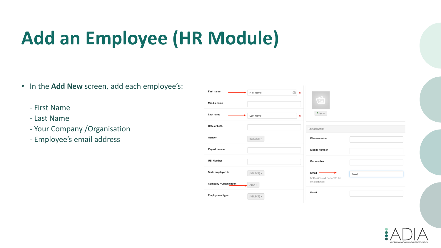# **Add an Employee (HR Module)**

- In the **Add New** screen, add each employee's:
	- First Name
	- Last Name
	- Your Company /Organisation
	- Employee's email address

| First name<br>固<br>First Name<br>$\clubsuit$ |                                                      |  |
|----------------------------------------------|------------------------------------------------------|--|
| Middle name                                  | $\widehat{\mathbb{E}}$                               |  |
| Last name<br>Last Name<br>₩                  | O Upload                                             |  |
| Date of birth                                | <b>Contact Details</b>                               |  |
| Gender<br>[SELECT]                           | Phone number                                         |  |
| Payroll number                               | Mobile number                                        |  |
| <b>USI Number</b>                            | Fax number                                           |  |
| State employed in<br>[SELECT]                | Email<br>Email<br>Notifications will be sent to this |  |
| Company / Organisation<br>$ADIA -$           | email address                                        |  |
| <b>Employment type</b><br>[SELECT] -         | Email                                                |  |

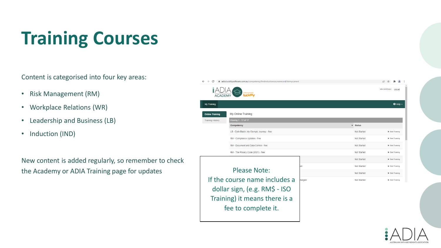# **Training Courses**

Content is categorised into four key areas:

- Risk Management (RM)
- Workplace Relations (WR)
- Leadership and Business (LB)
- Induction (IND)

New content is added regularly, so remember to check the Academy or ADIA Training page for updates



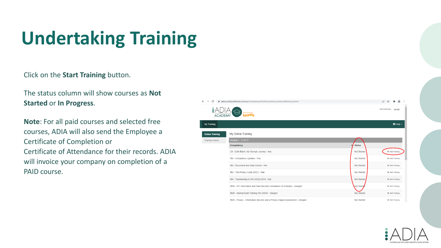# **Undertaking Training**

Click on the **Start Training** button.

The status column will show courses as **Not Started** or **In Progress**.

**Note**: For all paid courses and selected free courses, ADIA will also send the Employee a Certificate of Completion or Certificate of Attendance for their records. ADIA will invoice your company on completion of a PAID course.

| C<br>$\leftarrow$<br>$\rightarrow$ | adia.luciditysoftware.com.au/competency/findinductioncourserecord/listmycurrent      |                    | ピ                                           |
|------------------------------------|--------------------------------------------------------------------------------------|--------------------|---------------------------------------------|
| $\frac{2ADI}{ACADEMY}$             | Kindly spansored by<br><b>lucidity</b>                                               |                    | Will (WillPotter)<br>Log out                |
| <b>My Training</b>                 |                                                                                      |                    | $\Theta$ Help $\sim$                        |
| <b>Online Training</b>             | My Online Training                                                                   |                    |                                             |
| <b>Training History</b>            | Viewing 1 - 17 of 17                                                                 |                    |                                             |
|                                    | Competency                                                                           | <b>Status</b>      |                                             |
|                                    | LB - Colin Batch, My Olympic Journey - free                                          | Not Started        | Start Training                              |
|                                    | RM - Compliance Updates - free                                                       | Not Started        | Start Training                              |
|                                    | RM - Document and Data Control - free                                                | Not Started        | Start Training                              |
|                                    | RM - The Privacy Code (2021) - free                                                  | Not Started        | Start Training                              |
|                                    | RM - Transitioning to ISO 20252:2019 - free                                          | Not Started        | Start Training                              |
|                                    | RM\$ - DIY Information and Data Security Compliance (6 modules) - charged            | Not Started        | Start Training                              |
|                                    | RM\$ - Internal Audit Training ISO 20252 - charged                                   | <b>Not Started</b> | Start Training                              |
|                                    | DEAR - Daliano - Taganization Operator and a Daliano face and Approximate - depended | Allen Chapters     | <b>No dealer and the first of the State</b> |

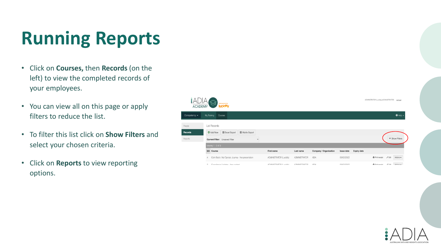## **Running Reports**

- Click on **Courses,** then **Records** (on the left) to view the completed records of your employees.
- You can view all on this page or apply filters to reduce the list.
- To filter this list click on **Show Filters** and select your chosen criteria.
- Click on **Reports** to view reporting options.



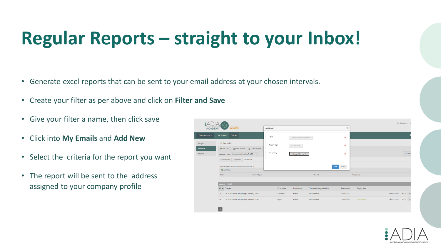# **Regular Reports – straight to your Inbox!**

- Generate excel reports that can be sent to your email address at your chosen intervals.
- Create your filter as per above and click on **Filter and Save**
- Give your filter a name, then click save
- Click into **My Emails** and **Add New**
- Select the criteria for the report you want
- The report will be sent to the address assigned to your company profile

|                          | $\frac{1}{100}$                                                             |                    |                             |                        |                |                    | Test (TestMember)                   |
|--------------------------|-----------------------------------------------------------------------------|--------------------|-----------------------------|------------------------|----------------|--------------------|-------------------------------------|
| <b>ACADEMY</b>           | lucidity.                                                                   | Add Email          |                             |                        | $\pmb{\times}$ |                    |                                     |
| Competency -             | <b>Courses</b><br><b>My Training</b>                                        | Filter             | Leadership learning Feb22 + |                        | ۰              |                    |                                     |
| People<br><b>Records</b> | <b>List Records</b><br>Excel Export   III Matrix Export<br><b>O</b> Add New | <b>Report Type</b> | Excel Export +              |                        | 姜              |                    |                                     |
| Reports                  | Current Filter: Leadership learning Feb22 $\vee$                            | Frequency          | First day of the month -    |                        | ₩              |                    | $\leftrightarrow$ Hide              |
|                          | Current Filter   My Filters   My Emails                                     |                    |                             |                        |                |                    |                                     |
|                          | Email Address: jennifer@dataandinsights.com.au<br><b>O</b> Add New          |                    |                             |                        | Save<br>Close  |                    |                                     |
|                          | Filter<br><b>Report Type</b>                                                |                    |                             | Report                 |                | Frequency          |                                     |
|                          | Viewing $1 - 2$ of $2$                                                      |                    |                             |                        |                |                    |                                     |
|                          | $Id$ $\triangle$ Course                                                     | First name         | Last name                   | Company / Organisation | Issue date     | <b>Expiry date</b> |                                     |
|                          | LB - Colin Batch, My Olympic Journey - free<br>24                           | Charlotte          | Potter                      | <b>Test Member</b>     | 10/02/2022     |                    | <b>B</b> Print receipt / Edit<br>Ac |
|                          | LB - Colin Batch, My Olympic Journey - free<br>21                           | Bryan              | Potter                      | <b>Test Member</b>     | 10/02/2022     | 10/02/2023         | <b>A</b> Print receipt / Edit       |
|                          |                                                                             |                    |                             |                        |                |                    |                                     |